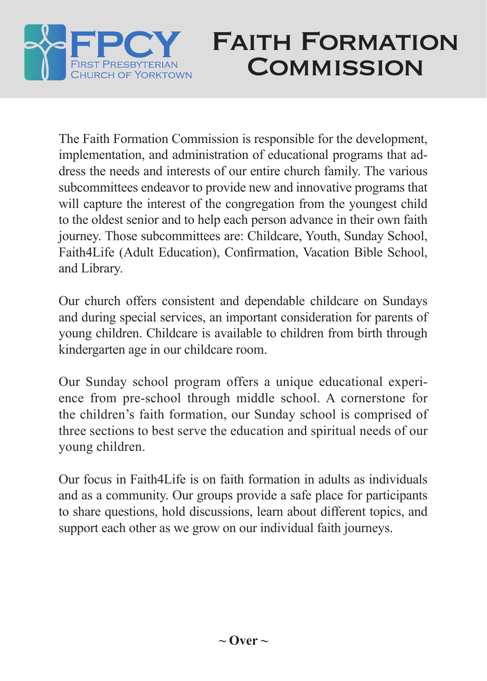

## Faith Formation **COMMISSION**

The Faith Formation Commission is responsible for the development, implementation, and administration of educational programs that address the needs and interests of our entire church family. The various subcommittees endeavor to provide new and innovative programs that will capture the interest of the congregation from the youngest child to the oldest senior and to help each person advance in their own faith journey. Those subcommittees are: Childcare, Youth, Sunday School, Faith4Life (Adult Education), Confirmation, Vacation Bible School, and Library.

Our church offers consistent and dependable childcare on Sundays and during special services, an important consideration for parents of young children. Childcare is available to children from birth through kindergarten age in our childcare room.

Our Sunday school program offers a unique educational experience from pre-school through middle school. A cornerstone for the children's faith formation, our Sunday school is comprised of three sections to best serve the education and spiritual needs of our young children.

Our focus in Faith4Life is on faith formation in adults as individuals and as a community. Our groups provide a safe place for participants to share questions, hold discussions, learn about different topics, and support each other as we grow on our individual faith journeys.